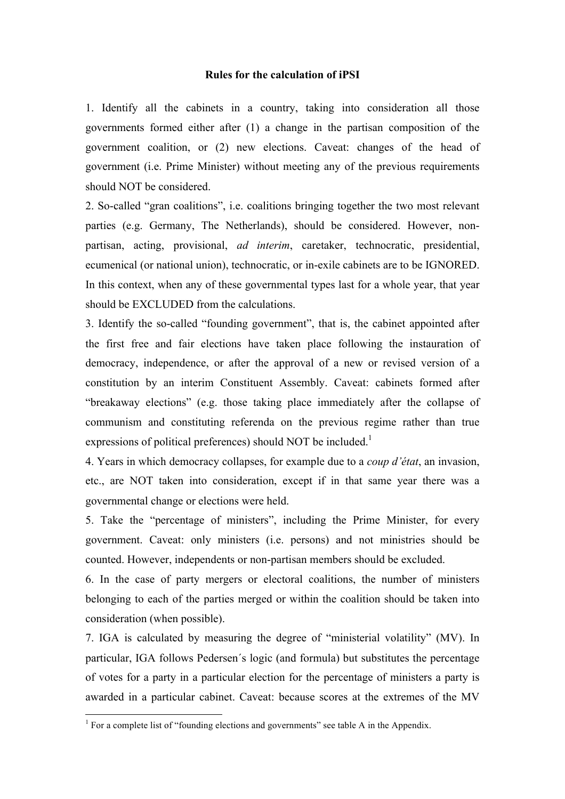## **Rules for the calculation of iPSI**

1. Identify all the cabinets in a country, taking into consideration all those governments formed either after (1) a change in the partisan composition of the government coalition, or (2) new elections. Caveat: changes of the head of government (i.e. Prime Minister) without meeting any of the previous requirements should NOT be considered.

2. So-called "gran coalitions", i.e. coalitions bringing together the two most relevant parties (e.g. Germany, The Netherlands), should be considered. However, nonpartisan, acting, provisional, *ad interim*, caretaker, technocratic, presidential, ecumenical (or national union), technocratic, or in-exile cabinets are to be IGNORED. In this context, when any of these governmental types last for a whole year, that year should be EXCLUDED from the calculations.

3. Identify the so-called "founding government", that is, the cabinet appointed after the first free and fair elections have taken place following the instauration of democracy, independence, or after the approval of a new or revised version of a constitution by an interim Constituent Assembly. Caveat: cabinets formed after "breakaway elections" (e.g. those taking place immediately after the collapse of communism and constituting referenda on the previous regime rather than true expressions of political preferences) should NOT be included.<sup>1</sup>

4. Years in which democracy collapses, for example due to a *coup d'état*, an invasion, etc., are NOT taken into consideration, except if in that same year there was a governmental change or elections were held.

5. Take the "percentage of ministers", including the Prime Minister, for every government. Caveat: only ministers (i.e. persons) and not ministries should be counted. However, independents or non-partisan members should be excluded.

6. In the case of party mergers or electoral coalitions, the number of ministers belonging to each of the parties merged or within the coalition should be taken into consideration (when possible).

7. IGA is calculated by measuring the degree of "ministerial volatility" (MV). In particular, IGA follows Pedersen´s logic (and formula) but substitutes the percentage of votes for a party in a particular election for the percentage of ministers a party is awarded in a particular cabinet. Caveat: because scores at the extremes of the MV

<sup>&</sup>lt;sup>1</sup> For a complete list of "founding elections and governments" see table A in the Appendix.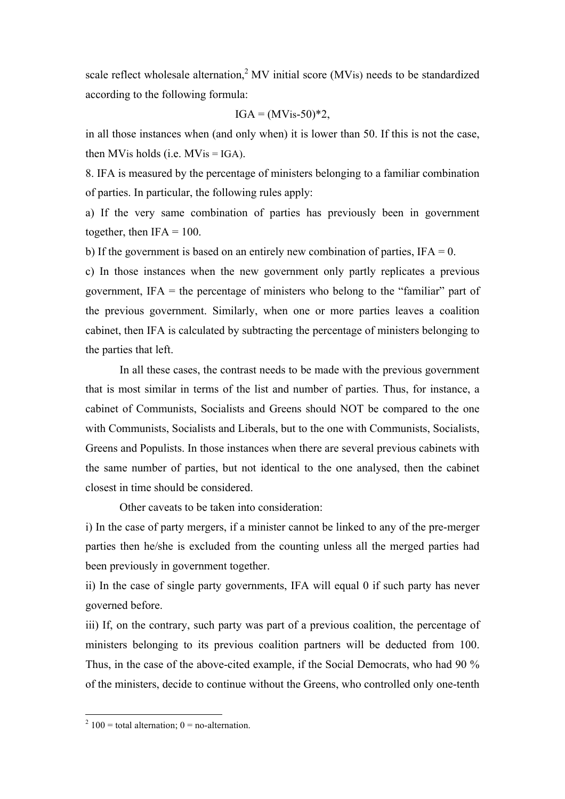scale reflect wholesale alternation, $2$  MV initial score (MVis) needs to be standardized according to the following formula:

$$
IGA = (MVis-50)*2
$$
,

in all those instances when (and only when) it is lower than 50. If this is not the case, then MVis holds (i.e.  $MVis = IGA$ ).

8. IFA is measured by the percentage of ministers belonging to a familiar combination of parties. In particular, the following rules apply:

a) If the very same combination of parties has previously been in government together, then  $IFA = 100$ .

b) If the government is based on an entirely new combination of parties,  $IFA = 0$ .

c) In those instances when the new government only partly replicates a previous government, IFA = the percentage of ministers who belong to the "familiar" part of the previous government. Similarly, when one or more parties leaves a coalition cabinet, then IFA is calculated by subtracting the percentage of ministers belonging to the parties that left.

In all these cases, the contrast needs to be made with the previous government that is most similar in terms of the list and number of parties. Thus, for instance, a cabinet of Communists, Socialists and Greens should NOT be compared to the one with Communists, Socialists and Liberals, but to the one with Communists, Socialists, Greens and Populists. In those instances when there are several previous cabinets with the same number of parties, but not identical to the one analysed, then the cabinet closest in time should be considered.

Other caveats to be taken into consideration:

i) In the case of party mergers, if a minister cannot be linked to any of the pre-merger parties then he/she is excluded from the counting unless all the merged parties had been previously in government together.

ii) In the case of single party governments, IFA will equal 0 if such party has never governed before.

iii) If, on the contrary, such party was part of a previous coalition, the percentage of ministers belonging to its previous coalition partners will be deducted from 100. Thus, in the case of the above-cited example, if the Social Democrats, who had 90 % of the ministers, decide to continue without the Greens, who controlled only one-tenth

<sup>&</sup>lt;sup>2</sup> 100 = total alternation; 0 = no-alternation.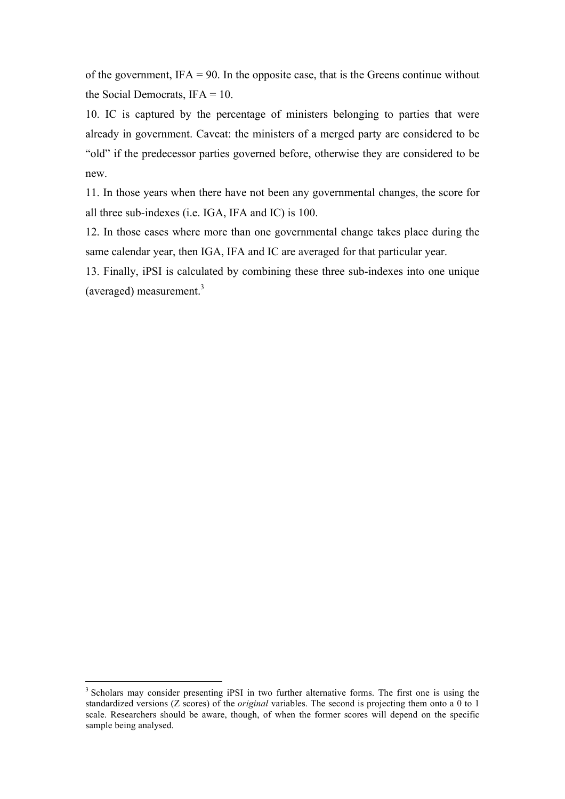of the government, IFA = 90. In the opposite case, that is the Greens continue without the Social Democrats,  $IFA = 10$ .

10. IC is captured by the percentage of ministers belonging to parties that were already in government. Caveat: the ministers of a merged party are considered to be "old" if the predecessor parties governed before, otherwise they are considered to be new.

11. In those years when there have not been any governmental changes, the score for all three sub-indexes (i.e. IGA, IFA and IC) is 100.

12. In those cases where more than one governmental change takes place during the same calendar year, then IGA, IFA and IC are averaged for that particular year.

13. Finally, iPSI is calculated by combining these three sub-indexes into one unique (averaged) measurement.3

<sup>&</sup>lt;sup>3</sup> Scholars may consider presenting iPSI in two further alternative forms. The first one is using the standardized versions (Z scores) of the *original* variables. The second is projecting them onto a 0 to 1 scale. Researchers should be aware, though, of when the former scores will depend on the specific sample being analysed.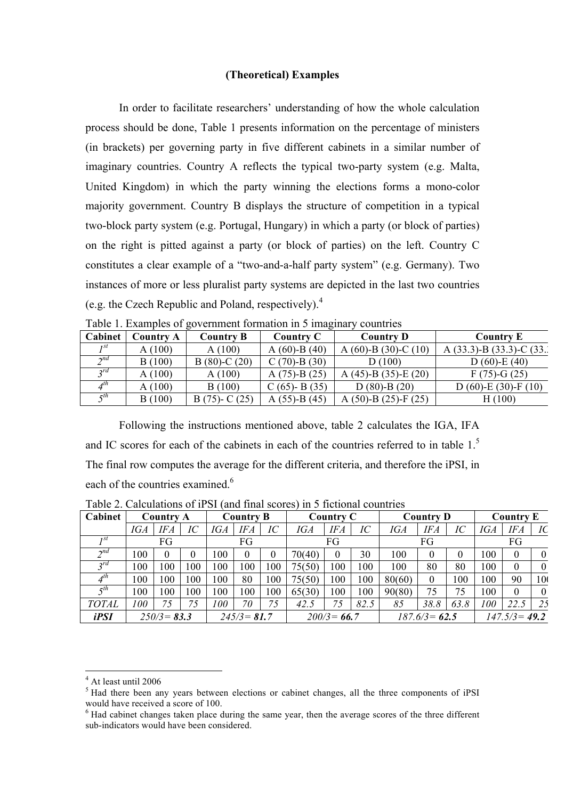## **(Theoretical) Examples**

In order to facilitate researchers' understanding of how the whole calculation process should be done, Table 1 presents information on the percentage of ministers (in brackets) per governing party in five different cabinets in a similar number of imaginary countries. Country A reflects the typical two-party system (e.g. Malta, United Kingdom) in which the party winning the elections forms a mono-color majority government. Country B displays the structure of competition in a typical two-block party system (e.g. Portugal, Hungary) in which a party (or block of parties) on the right is pitted against a party (or block of parties) on the left. Country C constitutes a clear example of a "two-and-a-half party system" (e.g. Germany). Two instances of more or less pluralist party systems are depicted in the last two countries (e.g. the Czech Republic and Poland, respectively). 4

| Cabinet                | Country A | <b>Country B</b> | <b>Country C</b>   | <b>Country D</b>             | <b>Country E</b>                   |
|------------------------|-----------|------------------|--------------------|------------------------------|------------------------------------|
| 1st                    | A(100)    | A(100)           | A $(60)$ -B $(40)$ | A $(60)$ -B $(30)$ -C $(10)$ | A $(33.3)$ -B $(33.3)$ -C $(33.4)$ |
| $\gamma$ <sup>nd</sup> | B(100)    | $B(80)-C(20)$    | $C(70)-B(30)$      | D(100)                       | D $(60)$ -E $(40)$                 |
| 2rd                    | A(100)    | A(100)           | $A(75)-B(25)$      | A $(45)$ -B $(35)$ -E $(20)$ | $F(75)-G(25)$                      |
| $A^{th}$               | A(100)    | B(100)           | $C(65)$ - B $(35)$ | $D(80)$ -B $(20)$            | D (60)-E (30)-F (10)               |
| $\tau$ th              | B(100)    | $B(75)-C(25)$    | A $(55)$ -B $(45)$ | A $(50)$ -B $(25)$ -F $(25)$ | H(100)                             |

Table 1. Examples of government formation in 5 imaginary countries

Following the instructions mentioned above, table 2 calculates the IGA, IFA and IC scores for each of the cabinets in each of the countries referred to in table 1.<sup>5</sup> The final row computes the average for the different criteria, and therefore the iPSI, in each of the countries examined  $6$ 

| Cabinet     | Country A      |     | <b>Country B</b> |                | Country C  |                 |                | <b>Country D</b> |                          |                  | <b>Country E</b> |          |                  |            |          |
|-------------|----------------|-----|------------------|----------------|------------|-----------------|----------------|------------------|--------------------------|------------------|------------------|----------|------------------|------------|----------|
|             | <b>IGA</b>     | IFA | $\overline{IC}$  | IGA            | <b>IFA</b> | $\overline{IC}$ | <b>IGA</b>     | <b>IFA</b>       | $\mathcal{I}\mathcal{C}$ | IGA              | <b>IFA</b>       | IC       | IGA              | <b>IFA</b> | IC       |
| 1st         | FG             |     | FG               |                | FG         |                 | FG             |                  |                          | FG               |                  |          |                  |            |          |
| $\gamma$ nd | 100            | 0   | 0                | 100            | $\theta$   | 0               | 70(40)         |                  | 30                       | 100              | $\theta$         | $\theta$ | 100              | $\Omega$   | $\Omega$ |
| $2^{rd}$    | 100            | 100 | 100              | 100            | 100        | 100             | 75(50)         | 100              | 100                      | 100              | 80               | 80       | 100              | $\Omega$   | $\theta$ |
| $4^{th}$    | 100            | 100 | 100              | 100            | 80         | 100             | 75(50)         | 100              | 100                      | 80(60)           | $\theta$         | 100      | 100              | 90         | 100      |
| $\tau$ th   | 100            | 100 | 100              | 100            | 100        | 100             | 65(30)         | 100              | 100                      | 90(80)           | 75               | 75       | 100              | $\theta$   | $\Omega$ |
| TOTAL       | 100            | 75  | 75               | 100            | 70         | 75              | 42.5           | 75               | 82.5                     | 85               | 38.8             | 63.8     | 100              | 22.5       | 25       |
| iPSI        | $250/3 = 83.3$ |     |                  | $245/3 = 81.7$ |            |                 | $200/3 = 66.7$ |                  |                          | $187.6/3 = 62.5$ |                  |          | $147.5/3 = 49.2$ |            |          |

Table 2. Calculations of iPSI (and final scores) in 5 fictional countries

At least until 2006

<sup>&</sup>lt;sup>5</sup> Had there been any years between elections or cabinet changes, all the three components of iPSI would have received a score of 100.

<sup>6</sup> Had cabinet changes taken place during the same year, then the average scores of the three different sub-indicators would have been considered.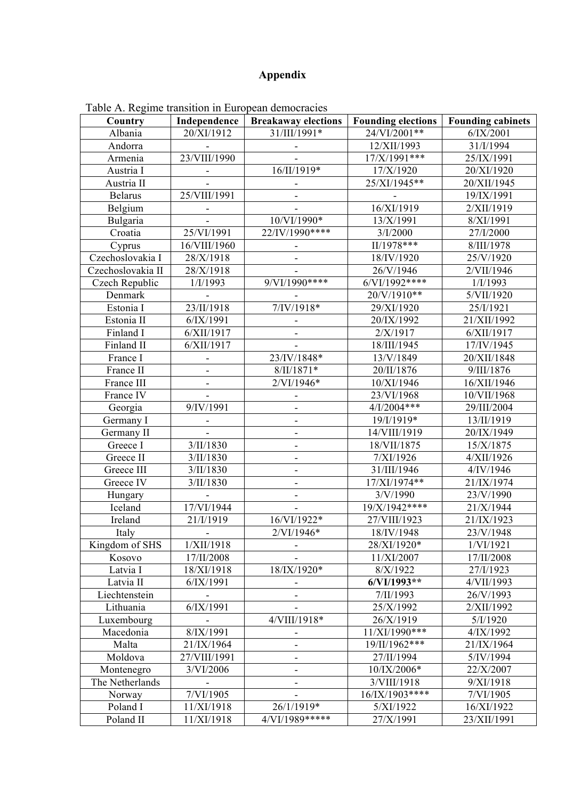## **Appendix**

| Country           | <b>Breakaway elections</b><br>Independence |                              | <b>Founding elections</b> | <b>Founding cabinets</b> |  |
|-------------------|--------------------------------------------|------------------------------|---------------------------|--------------------------|--|
| Albania           | 20/XI/1912                                 | 31/III/1991*                 | 24/VI/2001**              | 6/IX/2001                |  |
| Andorra           |                                            |                              | 12/XII/1993               | 31/I/1994                |  |
| Armenia           | 23/VIII/1990                               |                              | $17/X/1991***$            | 25/IX/1991               |  |
| Austria I         |                                            | 16/II/1919*                  | 17/X/1920                 | 20/XI/1920               |  |
| Austria II        |                                            |                              | 25/XI/1945**              | 20/XII/1945              |  |
| <b>Belarus</b>    | 25/VIII/1991                               |                              |                           | 19/IX/1991               |  |
| Belgium           |                                            |                              | 16/XI/1919                | 2/XII/1919               |  |
| Bulgaria          |                                            | 10/VI/1990*                  | 13/X/1991                 | 8/XI/1991                |  |
| Croatia           | 25/VI/1991                                 | 22/IV/1990****               | 3/I/2000                  | 27/I/2000                |  |
| Cyprus            | 16/VIII/1960                               |                              | II/1978***                | 8/III/1978               |  |
| Czechoslovakia I  | 28/X/1918                                  |                              | 18/IV/1920                | 25/V/1920                |  |
| Czechoslovakia II | 28/X/1918                                  |                              | 26/V/1946                 | 2/VII/1946               |  |
| Czech Republic    | 1/I/1993                                   | $9/VI/1990***$               | $6/VI/1992***$            | 1/I/1993                 |  |
| Denmark           |                                            |                              | 20/V/1910**               | 5/VII/1920               |  |
| Estonia I         | 23/II/1918                                 | $7/IV/1918*$                 | 29/XI/1920                | 25/I/1921                |  |
| Estonia II        | 6/IX/1991                                  |                              | 20/IX/1992                | 21/XII/1992              |  |
| Finland I         | 6/XII/1917                                 | $\overline{a}$               | 2/X/1917                  | 6/XII/1917               |  |
| Finland II        | 6/XII/1917                                 |                              | 18/III/1945               | 17/IV/1945               |  |
| France I          | ۰                                          | 23/IV/1848*                  | 13/V/1849                 | 20/XII/1848              |  |
| France II         |                                            | $8/II/1871*$                 | 20/II/1876                | 9/III/1876               |  |
| France III        |                                            | 2/VI/1946*                   | 10/XI/1946                | 16/XII/1946              |  |
| France IV         |                                            |                              | 23/VI/1968                | 10/VII/1968              |  |
| Georgia           | 9/IV/1991                                  |                              | 4/I/2004***               | 29/III/2004              |  |
| Germany I         |                                            | ÷,                           | 19/I/1919*                | 13/II/1919               |  |
| Germany II        |                                            | $\overline{\phantom{m}}$     | 14/VIII/1919              | 20/IX/1949               |  |
| Greece I          | 3/II/1830                                  | ÷,                           | 18/VII/1875               | 15/X/1875                |  |
| Greece II         | $3/II/1830$                                |                              | 7/XI/1926                 | 4/XII/1926               |  |
| Greece III        | 3/II/1830                                  |                              | 31/III/1946               | 4/IV/1946                |  |
| Greece IV         | 3/II/1830                                  | -                            | 17/XI/1974**              | 21/IX/1974               |  |
| Hungary           |                                            | $\qquad \qquad \blacksquare$ | 3/V/1990                  | 23/V/1990                |  |
| Iceland           | 17/VI/1944                                 |                              | 19/X/1942****             | 21/X/1944                |  |
| Ireland           | 21/I/1919                                  | 16/VI/1922*                  | 27/VIII/1923              | 21/IX/1923               |  |
| Italy             |                                            | 2/VI/1946*                   | 18/IV/1948                | 23/V/1948                |  |
| Kingdom of SHS    | 1/XII/1918                                 | $\overline{\phantom{a}}$     | 28/XI/1920*               | 1/VI/1921                |  |
| Kosovo            | 17/II/2008                                 |                              | 11/XI/2007                | 17/II/2008               |  |
| Latvia I          | 18/XI/1918                                 | 18/IX/1920*                  | 8/X/1922                  | 27/I/1923                |  |
| Latvia II         | 6/IX/1991                                  |                              | 6/VI/1993**               | 4/VII/1993               |  |
| Liechtenstein     |                                            |                              | 7/II/1993                 | 26/V/1993                |  |
| Lithuania         | 6/IX/1991                                  |                              | 25/X/1992                 | 2/XII/1992               |  |
| Luxembourg        |                                            | 4/VIII/1918*                 | 26/X/1919                 | 5/I/1920                 |  |
| Macedonia         | 8/IX/1991                                  | $\overline{\phantom{0}}$     | 11/XI/1990***             | 4/IX/1992                |  |
| Malta             | 21/IX/1964                                 |                              | 19/II/1962***             | 21/IX/1964               |  |
| Moldova           | 27/VIII/1991                               |                              | 27/II/1994                | 5/IV/1994                |  |
| Montenegro        | 3/VI/2006                                  | -                            | 10/IX/2006*               | 22/X/2007                |  |
| The Netherlands   |                                            | ۰                            | 3/VIII/1918               | 9/XI/1918                |  |
| Norway            | 7/VI/1905                                  |                              | 16/IX/1903****            | 7/VI/1905                |  |
| Poland I          | 11/XI/1918                                 | 26/1/1919*                   | 5/XI/1922                 | 16/XI/1922               |  |
| Poland II         | 11/XI/1918                                 | 4/VI/1989*****               | 27/X/1991                 | 23/XII/1991              |  |

Table A. Regime transition in European democracies